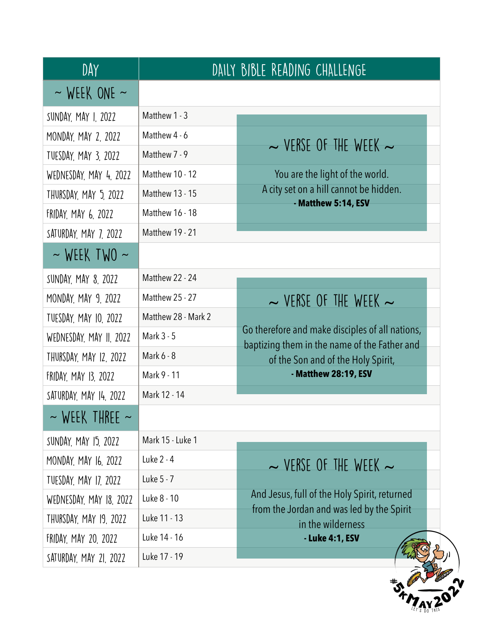| DAY                      |                        | DAILY BIBLE READING CHALLENGE                                                      |
|--------------------------|------------------------|------------------------------------------------------------------------------------|
| $\sim$ WEEK ONE $\sim$   |                        |                                                                                    |
| SUNDAY, MAY 1, 2022      | Matthew 1 - 3          |                                                                                    |
| MONDAY, MAY 2, 2022      | Matthew 4 - 6          | $\sim$ VERSE OF THE WEEK $\sim$                                                    |
| TUESDAY, MAY 3, 2022     | Matthew 7 - 9          |                                                                                    |
| WEDNESDAY, MAY 4, 2022   | <b>Matthew 10 - 12</b> | You are the light of the world.                                                    |
| THURSDAY, MAY 5, 2022    | <b>Matthew 13 - 15</b> | A city set on a hill cannot be hidden.                                             |
| FRIDAY, MAY 6, 2022      | Matthew 16 - 18        | - Matthew 5:14, ESV                                                                |
| SATURDAY, MAY 7, 2022    | <b>Matthew 19 - 21</b> |                                                                                    |
| $\sim$ WEEK TWO $\sim$   |                        |                                                                                    |
| SUNDAY, MAY 8, 2022      | Matthew 22 - 24        |                                                                                    |
| MONDAY, MAY 9, 2022      | <b>Matthew 25 - 27</b> | $\sim$ VERSE OF THE WEEK $\sim$                                                    |
| TUESDAY, MAY 10, 2022    | Matthew 28 - Mark 2    |                                                                                    |
| WEDNESDAY, MAY II, 2022  | Mark 3 - 5             | Go therefore and make disciples of all nations,                                    |
| THURSDAY, MAY 12, 2022   | Mark 6 - 8             | baptizing them in the name of the Father and<br>of the Son and of the Holy Spirit, |
| FRIDAY, MAY 13, 2022     | Mark 9 - 11            | - Matthew 28:19, ESV                                                               |
| SATURDAY, MAY 14, 2022   | Mark 12 - 14           |                                                                                    |
| $\sim$ WEEK THREE $\sim$ |                        |                                                                                    |
| SUNDAY, MAY 15, 2022     | Mark 15 - Luke 1       |                                                                                    |
| MONDAY, MAY 16, 2022     | Luke 2 - 4             | $\sim$ VERSE OF THE WEEK $\sim$                                                    |
| TUESDAY, MAY 17, 2022    | Luke 5 - 7             |                                                                                    |
| WEDNESDAY, MAY 18, 2022  | Luke 8 - 10            | And Jesus, full of the Holy Spirit, returned                                       |
| THURSDAY, MAY 19, 2022   | Luke 11 - 13           | from the Jordan and was led by the Spirit<br>in the wilderness                     |
| FRIDAY, MAY 20, 2022     | Luke 14 - 16           | - Luke 4:1, ESV                                                                    |
|                          |                        |                                                                                    |